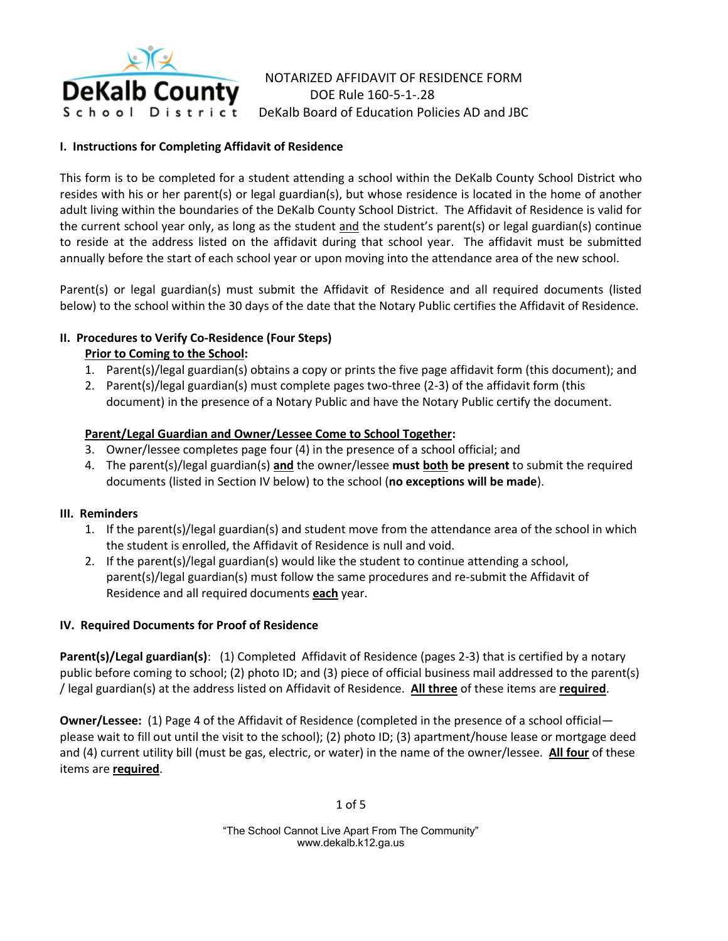

NOTARIZED AFFIDAVIT OF RESIDENCE FORM DOE Rule 160-5-1-.28 DeKalb Board of Education Policies AD and JBC

### **I. Instructions for Completing Affidavit of Residence**

This form is to be completed for a student attending a school within the DeKalb County School District who resides with his or her parent(s) or legal guardian(s), but whose residence is located in the home of another adult living within the boundaries of the DeKalb County School District. The Affidavit of Residence is valid for the current school year only, as long as the student  $\frac{and}{end}$  the student's parent(s) or legal guardian(s) continue to reside at the address listed on the affidavit during that school year. The affidavit must be submitted annually before the start of each school year or upon moving into the attendance area of the new school.

Parent(s) or legal guardian(s) must submit the Affidavit of Residence and all required documents (listed below) to the school within the 30 days of the date that the Notary Public certifies the Affidavit of Residence.

# **II. Procedures to Verify Co-Residence (Four Steps)**

# **Prior to Coming to the School:**

- 1. Parent(s)/legal guardian(s) obtains a copy or prints the five page affidavit form (this document); and
- 2. Parent(s)/legal guardian(s) must complete pages two-three (2-3) of the affidavit form (this document) in the presence of a Notary Public and have the Notary Public certify the document.

# **Parent/Legal Guardian and Owner/Lessee Come to School Together:**

- 3. Owner/lessee completes page four (4) in the presence of a school official; and
- 4. The parent(s)/legal guardian(s) **and** the owner/lessee **must both be present** to submit the required documents (listed in Section IV below) to the school (**no exceptions will be made**).

### **III. Reminders**

- 1. If the parent(s)/legal guardian(s) and student move from the attendance area of the school in which the student is enrolled, the Affidavit of Residence is null and void.
- 2. If the parent(s)/legal guardian(s) would like the student to continue attending a school, parent(s)/legal guardian(s) must follow the same procedures and re-submit the Affidavit of Residence and all required documents **each** year.

### **IV. Required Documents for Proof of Residence**

**Parent(s)/Legal guardian(s)**: (1) Completed Affidavit of Residence (pages 2-3) that is certified by a notary public before coming to school; (2) photo ID; and (3) piece of official business mail addressed to the parent(s) / legal guardian(s) at the address listed on Affidavit of Residence. **All three** of these items are **required**.

**Owner/Lessee:** (1) Page 4 of the Affidavit of Residence (completed in the presence of a school official please wait to fill out until the visit to the school); (2) photo ID; (3) apartment/house lease or mortgage deed and (4) current utility bill (must be gas, electric, or water) in the name of the owner/lessee. **All four** of these items are **required**.

1 of 5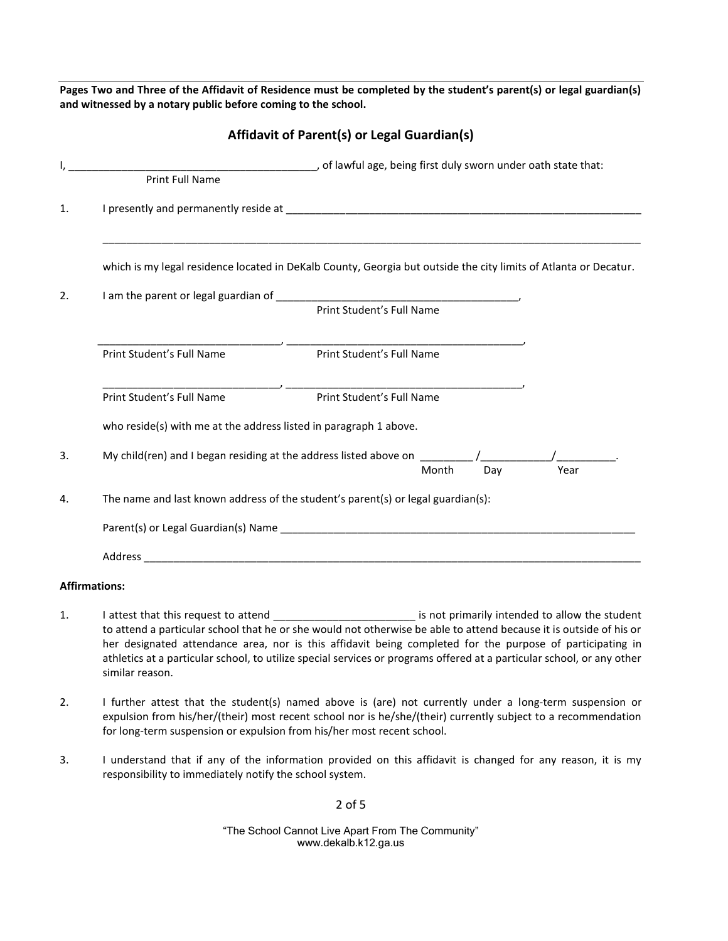**Pages Two and Three of the Affidavit of Residence must be completed by the student's parent(s) or legal guardian(s) and witnessed by a notary public before coming to the school.**

**Affidavit of Parent(s) or Legal Guardian(s)**

|    | Print Full Name                                                                                                  |                           |     |      |  |
|----|------------------------------------------------------------------------------------------------------------------|---------------------------|-----|------|--|
| 1. |                                                                                                                  |                           |     |      |  |
|    | which is my legal residence located in DeKalb County, Georgia but outside the city limits of Atlanta or Decatur. |                           |     |      |  |
| 2. |                                                                                                                  |                           |     |      |  |
|    |                                                                                                                  |                           |     |      |  |
|    | Print Student's Full Name                                                                                        | Print Student's Full Name |     |      |  |
|    | Print Student's Full Name                                                                                        | Print Student's Full Name |     |      |  |
|    | who reside(s) with me at the address listed in paragraph 1 above.                                                |                           |     |      |  |
| 3. |                                                                                                                  | Month                     | Dav | Year |  |
| 4. | The name and last known address of the student's parent(s) or legal guardian(s):                                 |                           |     |      |  |
|    |                                                                                                                  |                           |     |      |  |
|    |                                                                                                                  |                           |     |      |  |
|    | <b>Affirmations:</b>                                                                                             |                           |     |      |  |

- 1. I attest that this request to attend \_\_\_\_\_\_\_\_\_\_\_\_\_\_\_\_\_\_\_\_\_\_\_\_\_\_\_\_ is not primarily intended to allow the student to attend a particular school that he or she would not otherwise be able to attend because it is outside of his or her designated attendance area, nor is this affidavit being completed for the purpose of participating in athletics at a particular school, to utilize special services or programs offered at a particular school, or any other similar reason.
- 2. I further attest that the student(s) named above is (are) not currently under a long-term suspension or expulsion from his/her/(their) most recent school nor is he/she/(their) currently subject to a recommendation for long-term suspension or expulsion from his/her most recent school.
- 3. I understand that if any of the information provided on this affidavit is changed for any reason, it is my responsibility to immediately notify the school system.

2 of 5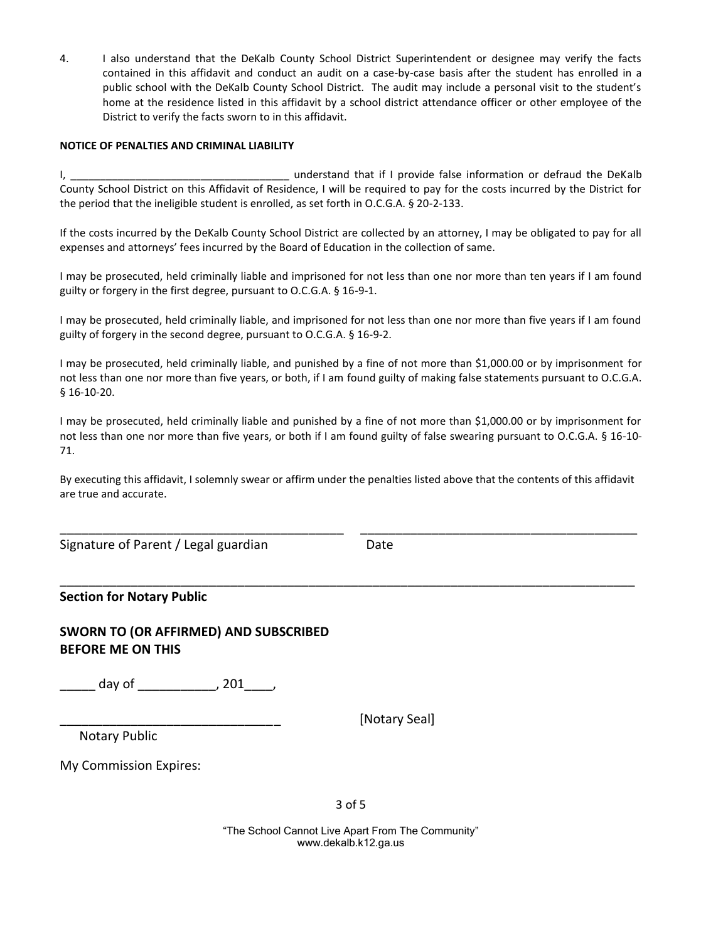4. I also understand that the DeKalb County School District Superintendent or designee may verify the facts contained in this affidavit and conduct an audit on a case-by-case basis after the student has enrolled in a public school with the DeKalb County School District. The audit may include a personal visit to the student's home at the residence listed in this affidavit by a school district attendance officer or other employee of the District to verify the facts sworn to in this affidavit.

#### **NOTICE OF PENALTIES AND CRIMINAL LIABILITY**

I, \_\_\_\_\_\_\_\_\_\_\_\_\_\_\_\_\_\_\_\_\_\_\_\_\_\_\_\_\_\_\_\_\_\_\_\_\_ understand that if I provide false information or defraud the DeKalb County School District on this Affidavit of Residence, I will be required to pay for the costs incurred by the District for the period that the ineligible student is enrolled, as set forth in O.C.G.A. § 20-2-133.

If the costs incurred by the DeKalb County School District are collected by an attorney, I may be obligated to pay for all expenses and attorneys' fees incurred by the Board of Education in the collection of same.

I may be prosecuted, held criminally liable and imprisoned for not less than one nor more than ten years if I am found guilty or forgery in the first degree, pursuant to O.C.G.A. § 16-9-1.

I may be prosecuted, held criminally liable, and imprisoned for not less than one nor more than five years if I am found guilty of forgery in the second degree, pursuant to O.C.G.A. § 16-9-2.

I may be prosecuted, held criminally liable, and punished by a fine of not more than \$1,000.00 or by imprisonment for not less than one nor more than five years, or both, if I am found guilty of making false statements pursuant to O.C.G.A. § 16-10-20.

I may be prosecuted, held criminally liable and punished by a fine of not more than \$1,000.00 or by imprisonment for not less than one nor more than five years, or both if I am found guilty of false swearing pursuant to O.C.G.A. § 16-10- 71.

By executing this affidavit, I solemnly swear or affirm under the penalties listed above that the contents of this affidavit are true and accurate.

\_\_\_\_\_\_\_\_\_\_\_\_\_\_\_\_\_\_\_\_\_\_\_\_\_\_\_\_\_\_\_\_\_\_\_\_\_\_\_\_\_\_\_\_\_\_\_\_\_\_\_\_\_\_\_\_\_\_\_\_\_\_\_\_\_\_\_\_\_\_\_\_\_\_\_\_\_\_\_

\_\_\_\_\_\_\_\_\_\_\_\_\_\_\_\_\_\_\_\_\_\_\_\_\_\_\_\_\_\_\_\_\_\_\_\_\_\_\_\_\_\_\_\_\_\_\_\_\_\_\_\_\_\_\_\_\_\_\_\_\_\_\_\_\_\_\_\_\_\_\_\_\_\_\_\_\_\_\_\_\_

Signature of Parent / Legal guardian Date

### **Section for Notary Public**

# **SWORN TO (OR AFFIRMED) AND SUBSCRIBED BEFORE ME ON THIS**

\_\_\_\_\_ day of \_\_\_\_\_\_\_\_\_\_\_, 201\_\_\_\_,

[Notary Seal]

Notary Public

My Commission Expires: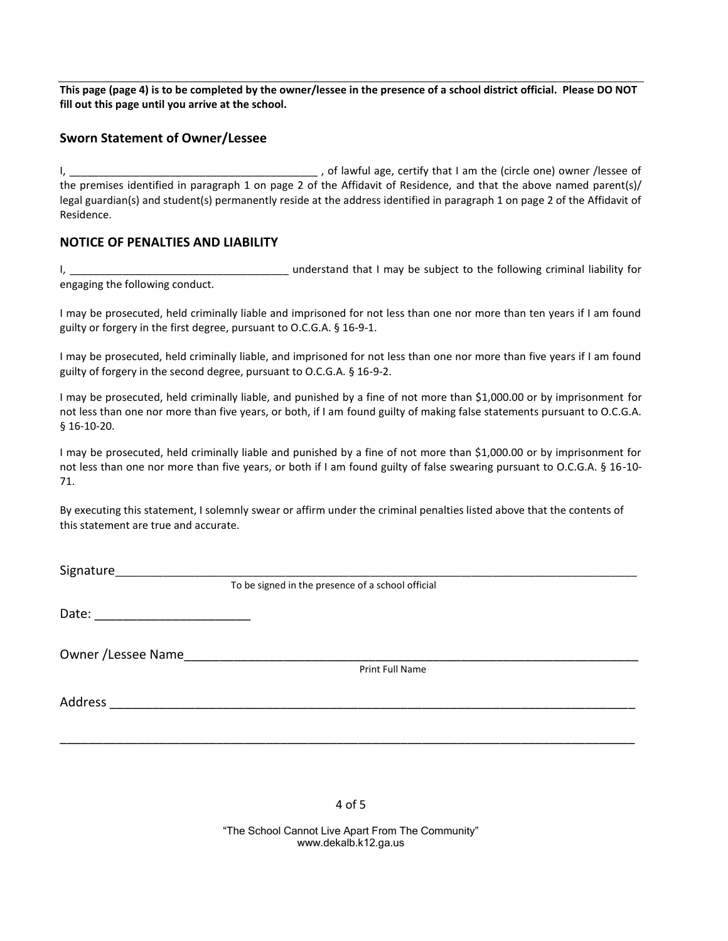**This page (page 4) is to be completed by the owner/lessee in the presence of a school district official. Please DO NOT fill out this page until you arrive at the school.**

### **Sworn Statement of Owner/Lessee**

I, \_\_\_\_\_\_\_\_\_\_\_\_\_\_\_\_\_\_\_\_\_\_\_\_\_\_\_\_\_\_\_\_\_\_\_\_\_\_\_\_\_\_ , of lawful age, certify that I am the (circle one) owner /lessee of the premises identified in paragraph 1 on page 2 of the Affidavit of Residence, and that the above named parent(s)/ legal guardian(s) and student(s) permanently reside at the address identified in paragraph 1 on page 2 of the Affidavit of Residence.

### **NOTICE OF PENALTIES AND LIABILITY**

I, \_\_\_\_\_\_\_\_\_\_\_\_\_\_\_\_\_\_\_\_\_\_\_\_\_\_\_\_\_\_\_\_\_\_\_\_\_ understand that I may be subject to the following criminal liability for engaging the following conduct.

I may be prosecuted, held criminally liable and imprisoned for not less than one nor more than ten years if I am found guilty or forgery in the first degree, pursuant to O.C.G.A. § 16-9-1.

I may be prosecuted, held criminally liable, and imprisoned for not less than one nor more than five years if I am found guilty of forgery in the second degree, pursuant to O.C.G.A. § 16-9-2.

I may be prosecuted, held criminally liable, and punished by a fine of not more than \$1,000.00 or by imprisonment for not less than one nor more than five years, or both, if I am found guilty of making false statements pursuant to O.C.G.A. § 16-10-20.

I may be prosecuted, held criminally liable and punished by a fine of not more than \$1,000.00 or by imprisonment for not less than one nor more than five years, or both if I am found guilty of false swearing pursuant to O.C.G.A. § 16-10- 71.

By executing this statement, I solemnly swear or affirm under the criminal penalties listed above that the contents of this statement are true and accurate.

Signature

To be signed in the presence of a school official

Date: \_\_\_\_\_\_\_\_\_\_\_\_\_\_\_\_\_\_\_\_\_\_

Owner /Lessee Name

Print Full Name

Address \_\_\_\_\_\_\_\_\_\_\_\_\_\_\_\_\_\_\_\_\_\_\_\_\_\_\_\_\_\_\_\_\_\_\_\_\_\_\_\_\_\_\_\_\_\_\_\_\_\_\_\_\_\_\_\_\_\_\_\_\_\_\_\_\_\_\_\_\_\_\_\_\_\_

4 of 5

\_\_\_\_\_\_\_\_\_\_\_\_\_\_\_\_\_\_\_\_\_\_\_\_\_\_\_\_\_\_\_\_\_\_\_\_\_\_\_\_\_\_\_\_\_\_\_\_\_\_\_\_\_\_\_\_\_\_\_\_\_\_\_\_\_\_\_\_\_\_\_\_\_\_\_\_\_\_\_\_\_